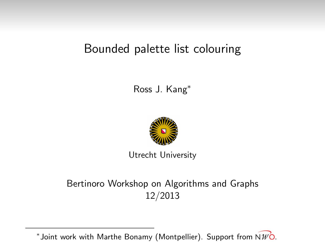#### Ross J. Kang<sup>∗</sup>



Utrecht University

#### Bertinoro Workshop on Algorithms and Graphs 12/2013

 $^*$ Joint work with Marthe Bonamy (Montpellier). Support from N $\mathscr{W}\mathsf{O}.$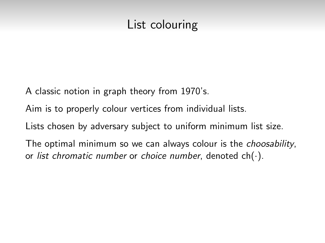# List colouring

A classic notion in graph theory from 1970's.

Aim is to properly colour vertices from individual lists.

Lists chosen by adversary subject to uniform minimum list size.

The optimal minimum so we can always colour is the choosability, or list chromatic number or choice number, denoted  $ch(\cdot)$ .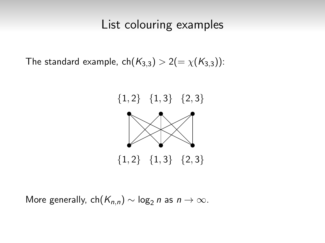### List colouring examples

The standard example,  $ch(K_{3,3}) > 2(=\chi(K_{3,3}))$ :



More generally, ch( $K_{n,n}$ ) ~ log<sub>2</sub> n as  $n \to \infty$ .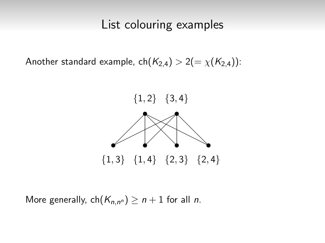#### List colouring examples

Another standard example,  $ch(K_{2,4}) > 2(=\chi(K_{2,4}))$ :



More generally,  $\mathsf{ch}(K_{n,n^n}) \geq n+1$  for all n.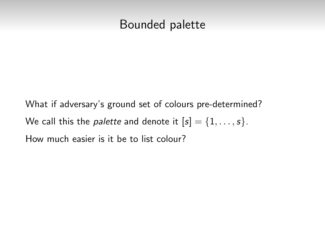#### Bounded palette

What if adversary's ground set of colours pre-determined? We call this the *palette* and denote it  $[s] = \{1, \ldots, s\}.$ How much easier is it be to list colour?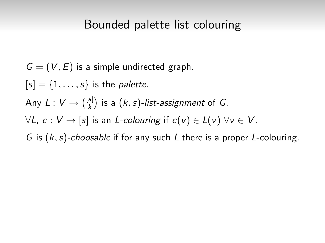$G = (V, E)$  is a simple undirected graph.

 $[s] = \{1, \ldots, s\}$  is the *palette*.

Any  $L: V \rightarrow \binom{[s]}{k}$  $\binom{s}{k}$  is a  $(k, s)$ -list-assignment of G.

 $\forall L, c: V \rightarrow [s]$  is an L-colouring if  $c(v) \in L(v)$   $\forall v \in V$ .

G is  $(k, s)$ -choosable if for any such L there is a proper L-colouring.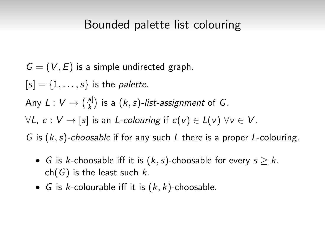$$
G = (V, E)
$$
 is a simple undirected graph.

 $[s] = \{1, \ldots, s\}$  is the *palette*.

Any  $L: V \rightarrow \binom{[s]}{k}$  $\binom{s}{k}$  is a  $(k, s)$ -list-assignment of G.

 $\forall L, c: V \rightarrow [s]$  is an L-colouring if  $c(v) \in L(v)$   $\forall v \in V$ .

G is  $(k, s)$ -choosable if for any such L there is a proper L-colouring.

- G is k-choosable iff it is  $(k, s)$ -choosable for every  $s \geq k$ .  $ch(G)$  is the least such k.
- G is k-colourable iff it is  $(k, k)$ -choosable.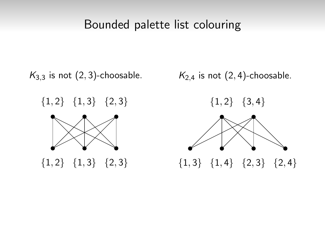$K_{3,3}$  is not  $(2,3)$ -choosable.

 ${1, 2}$   ${1, 3}$   ${2, 3}$ 



 ${1, 2}$   ${1, 3}$   ${2, 3}$ 

 $K_{2,4}$  is not  $(2,4)$ -choosable.

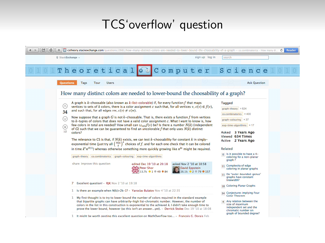## TCS'overflow' question

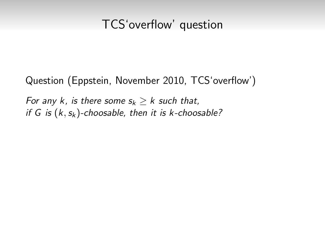### TCS'overflow' question

Question (Eppstein, November 2010, TCS'overflow')

For any k, is there some  $s_k > k$  such that, if G is  $(k, s_k)$ -choosable, then it is k-choosable?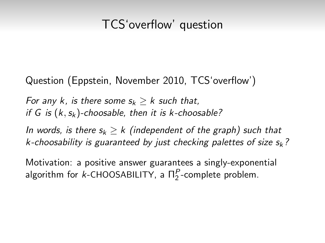## TCS'overflow' question

Question (Eppstein, November 2010, TCS'overflow')

For any k, is there some  $s_k > k$  such that, if G is  $(k, s_k)$ -choosable, then it is k-choosable?

In words, is there  $s_k > k$  (independent of the graph) such that k-choosability is guaranteed by just checking palettes of size  $s_k$ ?

Motivation: a positive answer guarantees a singly-exponential algorithm for *k*-CHOOSABILITY, a  $\Pi_2^P$ -complete problem.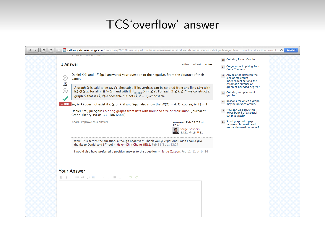## TCS'overflow' answer

| 1 Answer                                                                                                                                                                                                                                                                                                                                                                                                                                                                                                                                                                                                                                                                                  | 18 Coloring Planar Graphs<br>active<br>oldest<br>votes<br>34 Conjectures implying Four                                                                                                                                                                                                                                                                                                                                                                                                                                                                                                                                                                                                                                                                                                                                                                   |
|-------------------------------------------------------------------------------------------------------------------------------------------------------------------------------------------------------------------------------------------------------------------------------------------------------------------------------------------------------------------------------------------------------------------------------------------------------------------------------------------------------------------------------------------------------------------------------------------------------------------------------------------------------------------------------------------|----------------------------------------------------------------------------------------------------------------------------------------------------------------------------------------------------------------------------------------------------------------------------------------------------------------------------------------------------------------------------------------------------------------------------------------------------------------------------------------------------------------------------------------------------------------------------------------------------------------------------------------------------------------------------------------------------------------------------------------------------------------------------------------------------------------------------------------------------------|
| Daniel Král and Jiří Sgall answered your question to the negative. From the abstract of their<br>$(\wedge)$<br>paper:<br>15<br>⊛<br>graph G that is $(k, \ell')$ -choosable but not $(k, \ell + 1)$ -choosable.<br>+100 So, $N(k)$ does not exist if $k \ge 3$ . Král and Sqall also show that $N(2) = 4$ . Of course, $N(1) = 1$ .<br>Daniel Král, Jiří Sgall: Coloring graphs from lists with bounded size of their union. Journal of<br>Graph Theory 49(3): 177-186 (2005)<br>share improve this answer<br>Wow. This settles the question, although negatively. Thank you @Serge! And I wish I could give<br>thanks to Daniel and Jiří too! - Hsien-Chih Chang 張順之 Feb 11 '11 at 13:27 | <b>Color Theorem</b><br>Any relation between the<br>size of maximum<br>independent set and the<br>chromatic number on<br>graph of bounded degree?<br>A graph G is said to be $(k, \ell)$ -choosable if its vertices can be colored from any lists $L(\nu)$ with<br>$ L(v)  \geq k$ , for all $v \in V(G)$ , and with $ \bigcup_{v \in V(G)} L(v)  \leq \ell$ . For each $3 \leq k \leq \ell$ , we construct a<br>23 Coloring complexity of<br>graphs<br>18 Reasons for which a graph<br>may be not k colorable?<br>3 How can we derive this<br>lower bound of a special<br>cut in a graph?<br>11 Small graph with gap<br>answered Feb 11 '11 at<br>between chromatic and<br>12:45<br>vector chromatic number?<br><b>Serge Gaspers</b><br>421016031<br>I would also have preferred a positive answer to the question. - Serge Gaspers Feb 11 '11 at 14:34 |
| <b>Your Answer</b><br>$\cdots\quad \alpha\quad \{\}\quad \boxdot \quad \quad \boxdot \quad \blacksquare\qquad \blacksquare\quad \blacksquare\quad \blacksquare\quad \blacksquare\quad \blacksquare\quad \blacksquare\quad \blacksquare$<br>$B$ $I$<br>カセ                                                                                                                                                                                                                                                                                                                                                                                                                                  |                                                                                                                                                                                                                                                                                                                                                                                                                                                                                                                                                                                                                                                                                                                                                                                                                                                          |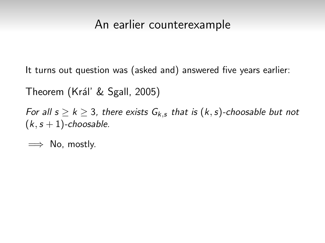### An earlier counterexample

It turns out question was (asked and) answered five years earlier:

Theorem (Kráľ & Sgall, 2005)

For all  $s \ge k \ge 3$ , there exists  $G_{k,s}$  that is  $(k,s)$ -choosable but not  $(k, s + 1)$ -choosable.

 $\implies$  No, mostly.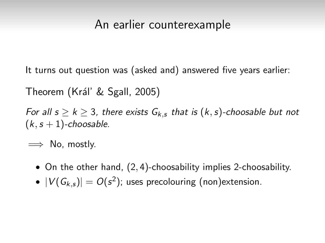#### An earlier counterexample

It turns out question was (asked and) answered five years earlier:

Theorem (Kráľ & Sgall, 2005)

For all  $s \ge k \ge 3$ , there exists  $G_{k,s}$  that is  $(k,s)$ -choosable but not  $(k, s + 1)$ -choosable.

 $\implies$  No, mostly.

- On the other hand, (2, 4)-choosability implies 2-choosability.
- $\bullet$   $|V(G_{k,s})| = O(s^2)$ ; uses precolouring (non)extension.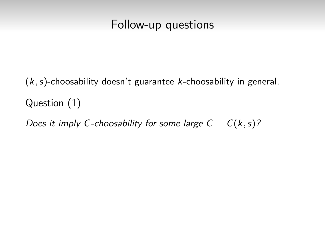### Follow-up questions

 $(k, s)$ -choosability doesn't guarantee k-choosability in general. Question (1)

Does it imply C-choosability for some large  $C = C(k, s)$ ?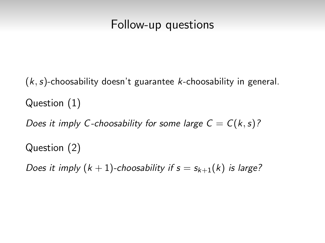### Follow-up questions

 $(k, s)$ -choosability doesn't guarantee k-choosability in general. Question (1)

Does it imply C-choosability for some large  $C = C(k, s)$ ?

Question (2)

Does it imply  $(k + 1)$ -choosability if  $s = s_{k+1}(k)$  is large?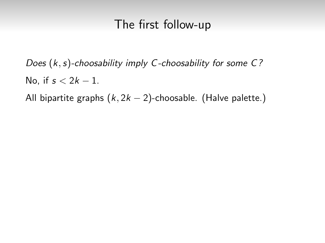## The first follow-up

Does  $(k, s)$ -choosability imply C-choosability for some C? No, if  $s < 2k - 1$ .

All bipartite graphs  $(k, 2k - 2)$ -choosable. (Halve palette.)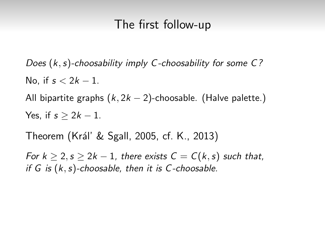### The first follow-up

Does  $(k, s)$ -choosability imply C-choosability for some C? No, if  $s < 2k - 1$ .

All bipartite graphs  $(k, 2k - 2)$ -choosable. (Halve palette.) Yes, if  $s > 2k - 1$ .

Theorem (Král' & Sgall, 2005, cf. K., 2013)

For  $k > 2$ ,  $s > 2k - 1$ , there exists  $C = C(k, s)$  such that, if  $G$  is  $(k, s)$ -choosable, then it is  $C$ -choosable.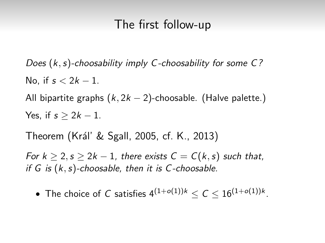### The first follow-up

Does  $(k, s)$ -choosability imply C-choosability for some C? No, if  $s < 2k - 1$ .

All bipartite graphs  $(k, 2k - 2)$ -choosable. (Halve palette.) Yes, if  $s > 2k - 1$ .

Theorem (Král' & Sgall, 2005, cf. K., 2013)

For  $k > 2$ ,  $s > 2k - 1$ , there exists  $C = C(k, s)$  such that, if  $G$  is  $(k, s)$ -choosable, then it is  $C$ -choosable.

 $\bullet$  The choice of  $C$  satisfies  $4^{(1+o(1))k} \leq C \leq 16^{(1+o(1))k}.$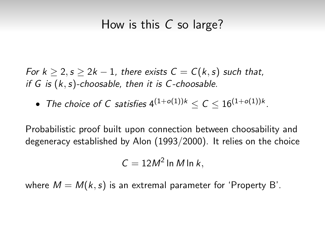### How is this C so large?

For  $k \geq 2$ ,  $s \geq 2k-1$ , there exists  $C = C(k, s)$  such that, if  $G$  is  $(k, s)$ -choosable, then it is  $C$ -choosable.

 $\bullet$  The choice of C satisfies  $4^{(1+o(1))k} \leq \mathcal{C} \leq 16^{(1+o(1))k}.$ 

Probabilistic proof built upon connection between choosability and degeneracy established by Alon (1993/2000). It relies on the choice

$$
C=12M^2\ln M\ln k,
$$

where  $M = M(k, s)$  is an extremal parameter for 'Property B'.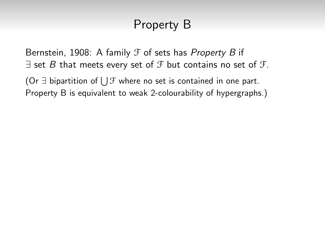Bernstein, 1908: A family  $\mathcal F$  of sets has Property B if  $\exists$  set B that meets every set of  $\mathcal F$  but contains no set of  $\mathcal F$ .

(Or ∃ bipartition of  $\bigcup \mathcal{F}$  where no set is contained in one part. Property B is equivalent to weak 2-colourability of hypergraphs.)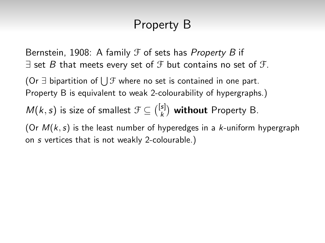Bernstein, 1908: A family  $\mathcal F$  of sets has Property B if  $\exists$  set B that meets every set of  $\mathcal F$  but contains no set of  $\mathcal F$ .

(Or ∃ bipartition of  $\bigcup \mathcal{F}$  where no set is contained in one part. Property B is equivalent to weak 2-colourability of hypergraphs.)

 $M(k, s)$  is size of smallest  $\mathcal{F} \subseteq {[s] \choose k}$  $\binom{s}{k}$  without Property B.

(Or  $M(k, s)$  is the least number of hyperedges in a k-uniform hypergraph on s vertices that is not weakly 2-colourable.)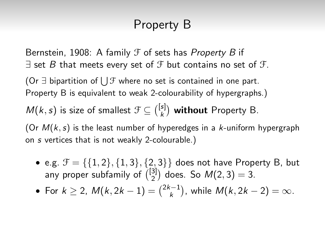Bernstein, 1908: A family  $\mathcal F$  of sets has Property B if  $\exists$  set B that meets every set of  $\mathcal F$  but contains no set of  $\mathcal F$ .

(Or ∃ bipartition of  $\bigcup \mathcal{F}$  where no set is contained in one part. Property B is equivalent to weak 2-colourability of hypergraphs.)

 $M(k, s)$  is size of smallest  $\mathcal{F} \subseteq {[s] \choose k}$  $\binom{s}{k}$  without Property B.

(Or  $M(k, s)$  is the least number of hyperedges in a k-uniform hypergraph on s vertices that is not weakly 2-colourable.)

• e.g.  $\mathcal{F} = \{ \{1, 2\}, \{1, 3\}, \{2, 3\} \}$  does not have Property B, but any proper subfamily of  $\binom{[3]}{2}$  $\binom{3}{2}$  does. So  $M(2,3) = 3$ .

• For 
$$
k \ge 2
$$
,  $M(k, 2k - 1) = {2k - 1 \choose k}$ , while  $M(k, 2k - 2) = \infty$ .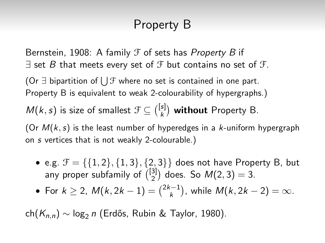Bernstein, 1908: A family  $\mathcal F$  of sets has Property B if  $\exists$  set B that meets every set of  $\mathcal F$  but contains no set of  $\mathcal F$ .

(Or ∃ bipartition of  $\bigcup \mathcal{F}$  where no set is contained in one part. Property B is equivalent to weak 2-colourability of hypergraphs.)

 $M(k, s)$  is size of smallest  $\mathcal{F} \subseteq {[s] \choose k}$  $\binom{s}{k}$  without Property B.

(Or  $M(k, s)$  is the least number of hyperedges in a k-uniform hypergraph on s vertices that is not weakly 2-colourable.)

• e.g.  $\mathcal{F} = \{ \{1, 2\}, \{1, 3\}, \{2, 3\} \}$  does not have Property B, but any proper subfamily of  $\binom{[3]}{2}$  $\binom{3}{2}$  does. So  $M(2,3) = 3$ .

• For 
$$
k \ge 2
$$
,  $M(k, 2k - 1) = {2k - 1 \choose k}$ , while  $M(k, 2k - 2) = \infty$ .

ch( $K_{n,n}$ ) ~ log<sub>2</sub> n (Erdős, Rubin & Taylor, 1980).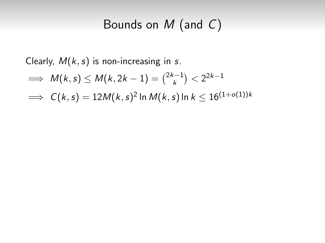# Bounds on M (and C)

Clearly,  $M(k, s)$  is non-increasing in s.

$$
\implies M(k,s) \leq M(k,2k-1) = \binom{2k-1}{k} < 2^{2k-1}
$$

 $\implies \, \mathcal{C}(k,s) = 12 \mathcal{M}(k,s)^2$  In  $\mathcal{M}(k,s)$  In  $k \leq 16^{(1+o(1))k}$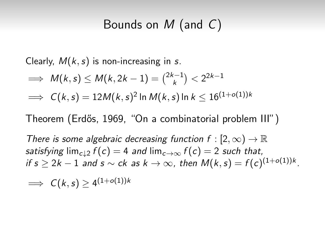## Bounds on M (and C)

Clearly,  $M(k, s)$  is non-increasing in s.

$$
\implies M(k, s) \le M(k, 2k - 1) = {2k - 1 \choose k} < 2^{2k - 1}
$$
  

$$
\implies C(k, s) = 12M(k, s)^2 \ln M(k, s) \ln k \le 16^{(1 + o(1))k}
$$

Theorem (Erdős, 1969, "On a combinatorial problem III")

There is some algebraic decreasing function  $f : [2, \infty) \to \mathbb{R}$ satisfying  $\lim_{c \to 2} f(c) = 4$  and  $\lim_{c \to \infty} f(c) = 2$  such that, if  $s\geq 2k-1$  and  $s\sim ck$  as  $k\to\infty$ , then  $M(k,s)=f(c)^{(1+o(1))k}.$ 

$$
\implies C(k,s) \geq 4^{(1+o(1))k}
$$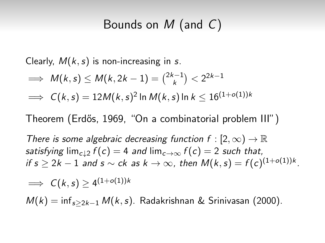## Bounds on M (and C)

Clearly,  $M(k, s)$  is non-increasing in s.

$$
\implies M(k, s) \le M(k, 2k - 1) = {2k - 1 \choose k} < 2^{2k - 1}
$$
  

$$
\implies C(k, s) = 12M(k, s)^2 \ln M(k, s) \ln k \le 16^{(1 + o(1))k}
$$

Theorem (Erdős, 1969, "On a combinatorial problem III")

There is some algebraic decreasing function  $f : [2, \infty) \to \mathbb{R}$ satisfying  $\lim_{c \to 2} f(c) = 4$  and  $\lim_{c \to \infty} f(c) = 2$  such that, if  $s\geq 2k-1$  and  $s\sim ck$  as  $k\to\infty$ , then  $M(k,s)=f(c)^{(1+o(1))k}.$ 

$$
\implies C(k,s) \ge 4^{(1+o(1))k}
$$
  

$$
M(k) = \inf_{s \ge 2k-1} M(k,s).
$$
 Radakrishnan & Srinivasan (2000).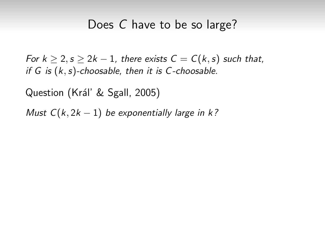#### Does C have to be so large?

For  $k \ge 2$ ,  $s \ge 2k - 1$ , there exists  $C = C(k, s)$  such that, if  $G$  is  $(k, s)$ -choosable, then it is  $C$ -choosable.

Question (Král' & Sgall, 2005)

Must  $C(k, 2k - 1)$  be exponentially large in k?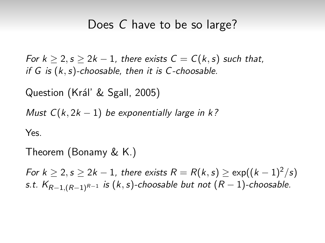#### Does C have to be so large?

For  $k > 2$ ,  $s > 2k - 1$ , there exists  $C = C(k, s)$  such that, if  $G$  is  $(k, s)$ -choosable, then it is  $C$ -choosable.

Question (Král' & Sgall, 2005)

Must  $C(k, 2k - 1)$  be exponentially large in k?

Yes.

Theorem (Bonamy & K.)

For  $k \ge 2$ ,  $s \ge 2k - 1$ , there exists  $R = R(k, s) \ge \exp((k - 1)^2/s)$ s.t.  $K_{R-1,(R-1)^{R-1}}$  is  $(k,s)$ -choosable but not  $(R-1)$ -choosable.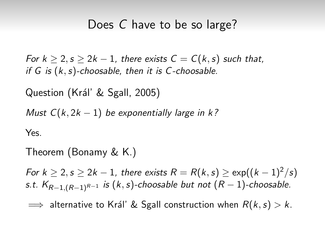#### Does C have to be so large?

For  $k > 2$ ,  $s > 2k - 1$ , there exists  $C = C(k, s)$  such that, if  $G$  is  $(k, s)$ -choosable, then it is  $C$ -choosable.

Question (Král' & Sgall, 2005)

Must  $C(k, 2k - 1)$  be exponentially large in k?

Yes.

Theorem (Bonamy & K.)

For  $k \ge 2$ ,  $s \ge 2k - 1$ , there exists  $R = R(k, s) \ge \exp((k - 1)^2/s)$ s.t.  $K_{R-1,(R-1)^{R-1}}$  is  $(k,s)$ -choosable but not  $(R-1)$ -choosable.

 $\implies$  alternative to Král' & Sgall construction when  $R(k, s) > k$ .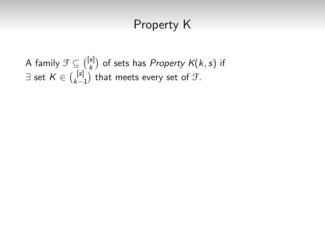A family  $\mathcal{F} \subseteq \binom{[s]}{k}$  $\binom{s}{k}$  of sets has *Property K*(*k*, *s*) if  $\exists$  set  $K \in \binom{[s]}{k-1}$  $\binom{[s]}{k-1}$  that meets every set of  $\mathcal{F}.$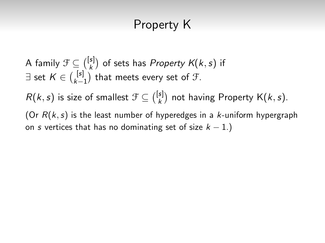A family  $\mathcal{F} \subseteq \binom{[s]}{k}$  $\binom{s}{k}$  of sets has *Property K*(*k*, *s*) if  $\exists$  set  $K \in \binom{[s]}{k-1}$  $\binom{[s]}{k-1}$  that meets every set of  $\mathcal{F}.$  $R(k, s)$  is size of smallest  $\mathcal{F} \subseteq {[s] \choose k}$  $\binom{s}{k}$  not having Property K $(k, s)$ . (Or  $R(k, s)$  is the least number of hyperedges in a  $k$ -uniform hypergraph

on s vertices that has no dominating set of size  $k - 1$ .)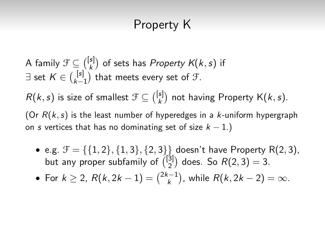A family  $\mathcal{F} \subseteq \binom{[s]}{k}$  $\binom{s}{k}$  of sets has *Property K*(*k*, *s*) if  $\exists$  set  $K \in \binom{[s]}{k-1}$  $\binom{[s]}{k-1}$  that meets every set of  $\mathcal{F}.$  $R(k, s)$  is size of smallest  $\mathcal{F} \subseteq {[s] \choose k}$  $\binom{s}{k}$  not having Property K $(k, s)$ . (Or  $R(k, s)$  is the least number of hyperedges in a k-uniform hypergraph on s vertices that has no dominating set of size  $k - 1$ .)

• e.g.  $\mathcal{F} = \{ \{1, 2\}, \{1, 3\}, \{2, 3\} \}$  doesn't have Property R(2, 3), but any proper subfamily of  $\binom{[3]}{2}$  $\binom{3}{2}$  does. So  $R(2,3) = 3$ .

• For 
$$
k \ge 2
$$
,  $R(k, 2k - 1) = {2k - 1 \choose k}$ , while  $R(k, 2k - 2) = \infty$ .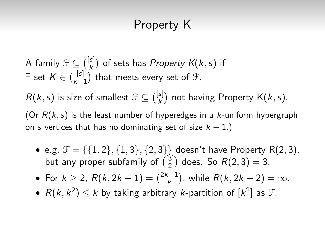A family  $\mathcal{F} \subseteq \binom{[s]}{k}$  $\binom{s}{k}$  of sets has *Property K*(*k*, *s*) if  $\exists$  set  $K \in \binom{[s]}{k-1}$  $\binom{[s]}{k-1}$  that meets every set of  $\mathcal{F}.$  $R(k, s)$  is size of smallest  $\mathcal{F} \subseteq {[s] \choose k}$  $\binom{s}{k}$  not having Property K $(k, s)$ . (Or  $R(k, s)$  is the least number of hyperedges in a k-uniform hypergraph on s vertices that has no dominating set of size  $k - 1$ .)

- e.g.  $\mathcal{F} = \{\{1, 2\}, \{1, 3\}, \{2, 3\}\}\$  doesn't have Property R(2, 3), but any proper subfamily of  $\binom{[3]}{2}$  $\binom{3}{2}$  does. So  $R(2,3) = 3$ .
- For  $k \geq 2$ ,  $R(k, 2k 1) = \binom{2k 1}{k}$  $\binom{n-1}{k}$ , while  $R(k, 2k-2) = \infty$ .
- $R(k, k^2) \le k$  by taking arbitrary *k*-partition of  $[k^2]$  as  $\mathcal{F}$ .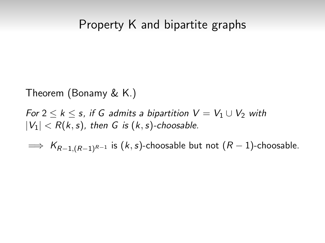#### Property K and bipartite graphs

Theorem (Bonamy & K.)

For  $2 \leq k \leq s$ , if G admits a bipartition  $V = V_1 \cup V_2$  with  $|V_1| < R(k, s)$ , then G is  $(k, s)$ -choosable.

 $\implies$  K<sub>R-1,(R-1)</sub>R-1 is (k, s)-choosable but not (R – 1)-choosable.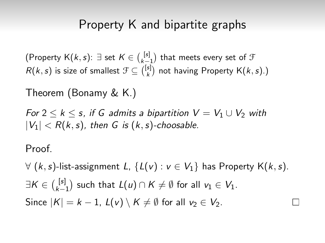### Property K and bipartite graphs

(Property K $(k, s)$ :  $\exists$  set  $K \in \binom{[s]}{k-1}$  that meets every set of  $\mathcal F$  $R(k, s)$  is size of smallest  $\mathcal{F} \subseteq {\binom{[s]}{k}}$  not having Property  $\mathsf{K}(k, s)$ .)

Theorem (Bonamy & K.)

For  $2 \le k \le s$ , if G admits a bipartition  $V = V_1 \cup V_2$  with  $|V_1|$  < R(k, s), then G is (k, s)-choosable.

Proof.

∀ (k, s)-list-assignment L, {L(v) :  $v \in V_1$ } has Property K(k, s).  $\exists \mathcal{K} \in \binom{[\mathsf{s}]}{\mathsf{k}_-}$  $\binom{[s]}{k-1}$  such that  $L(u) \cap K \neq \emptyset$  for all  $v_1 \in V_1$ . Since  $|K| = k - 1$ ,  $L(v) \setminus K \neq \emptyset$  for all  $v_2 \in V_2$ .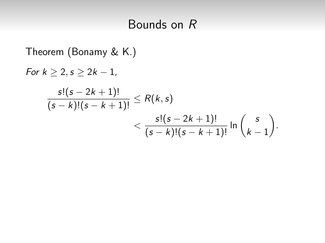# Bounds on R

Theorem (Bonamy & K.)  
\nFor 
$$
k \ge 2
$$
,  $s \ge 2k - 1$ ,  
\n
$$
\frac{s!(s - 2k + 1)!}{(s - k)!(s - k + 1)!} \le R(k, s)
$$
\n
$$
< \frac{s!(s - 2k + 1)!}{(s - k)!(s - k + 1)!} \ln \binom{s}{k - 1}.
$$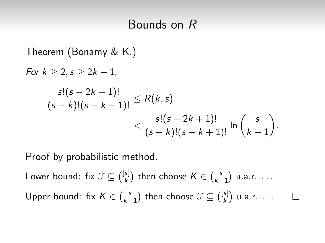### Bounds on R

Theorem (Bonamy & K.)

\n
$$
\text{For } k \geq 2, s \geq 2k - 1,
$$
\n
$$
\frac{s!(s - 2k + 1)!}{(s - k)!(s - k + 1)!} \leq R(k, s)
$$
\n
$$
\leq \frac{s!(s - 2k + 1)!}{(s - k)!(s - k + 1)!} \ln \binom{s}{k - 1}.
$$

Proof by probabilistic method.

Lower bound: fix  $\mathcal{F} \subseteq \binom{[s]}{k}$  $\binom{[s]}{k}$  then choose  $K \in \binom{s}{k-1}$  $\binom{s}{k-1}$  u.a.r. ... Upper bound: fix  $K \in {S \choose k-1}$  $\binom{s}{k-1}$  then choose  $\mathcal{F} \subseteq \binom{[s]}{k}$  $\binom{s}{k}$  u.a.r. ...

 $\Box$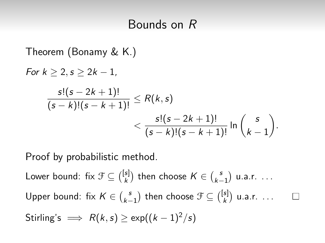### Bounds on R

Theorem (Bonamy & K.)

\n
$$
\text{For } k \geq 2, s \geq 2k - 1,
$$
\n
$$
\frac{s!(s - 2k + 1)!}{(s - k)!(s - k + 1)!} \leq R(k, s)
$$
\n
$$
\leq \frac{s!(s - 2k + 1)!}{(s - k)!(s - k + 1)!} \ln \binom{s}{k - 1}.
$$

Proof by probabilistic method.

Lower bound: fix  $\mathcal{F} \subseteq \binom{[s]}{k}$  $\binom{[s]}{k}$  then choose  $K \in \binom{s}{k-1}$  $\binom{s}{k-1}$  u.a.r. ... Upper bound: fix  $K \in {S \choose k-1}$  $\binom{s}{k-1}$  then choose  $\mathcal{F} \subseteq \binom{[s]}{k}$  $\binom{s}{k}$  u.a.r. ... Stirling's  $\implies R(k, s) > \exp((k-1)^2/s)$ 

 $\Box$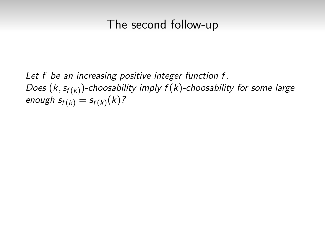### The second follow-up

Let f be an increasing positive integer function f. Does  $(k, s_{f(k)})$ -choosability imply  $f(k)$ -choosability for some large enough  $s_{f(k)} = s_{f(k)}(k)$ ?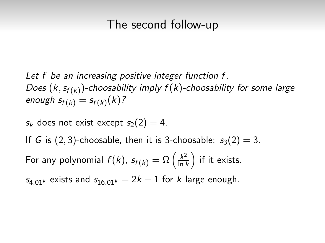### The second follow-up

- Let f be an increasing positive integer function f. Does  $(k, s_{f(k)})$ -choosability imply  $f(k)$ -choosability for some large enough  $s_{f(k)} = s_{f(k)}(k)$ ?
- $s_k$  does not exist except  $s_2(2) = 4$ .
- If G is  $(2, 3)$ -choosable, then it is 3-choosable:  $s_3(2) = 3$ .
- For any polynomial  $f(k)$ ,  $s_{f(k)} = \Omega\left(\frac{k^2}{\ln k}\right)$  $\frac{k^2}{\ln k}$ ) if it exists.
- $s_{4.01k}$  exists and  $s_{16.01k} = 2k 1$  for k large enough.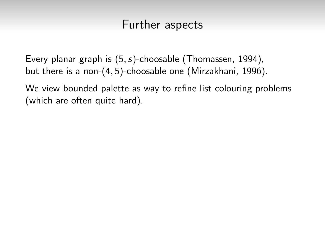### Further aspects

Every planar graph is  $(5, s)$ -choosable (Thomassen, 1994), but there is a non-(4, 5)-choosable one (Mirzakhani, 1996).

We view bounded palette as way to refine list colouring problems (which are often quite hard).